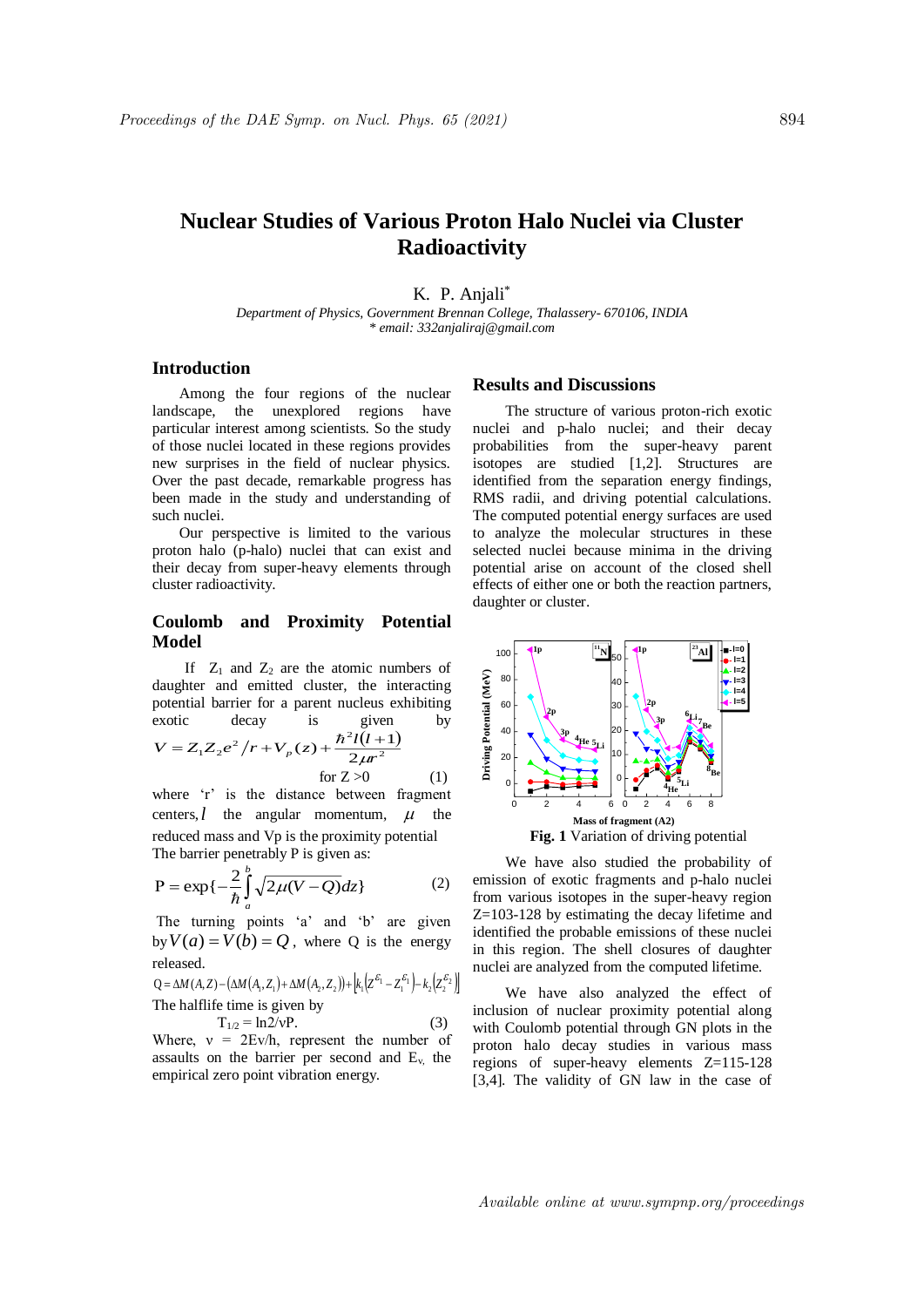# **Nuclear Studies of Various Proton Halo Nuclei via Cluster Radioactivity**

K. P. Anjali\*

*Department of Physics, Government Brennan College, Thalassery- 670106, INDIA \* email: 332anjaliraj@gmail.com*

### **Introduction**

Among the four regions of the nuclear landscape, the unexplored regions have particular interest among scientists. So the study of those nuclei located in these regions provides new surprises in the field of nuclear physics. Over the past decade, remarkable progress has been made in the study and understanding of such nuclei.

Our perspective is limited to the various proton halo (p-halo) nuclei that can exist and their decay from super-heavy elements through cluster radioactivity.

### **Coulomb and Proximity Potential Model**

If  $Z_1$  and  $Z_2$  are the atomic numbers of daughter and emitted cluster, the interacting potential barrier for a parent nucleus exhibiting exotic decay is given by

$$
V = Z_1 Z_2 e^2 / r + V_p(z) + \frac{\hbar^2 l(l+1)}{2\mu r^2}
$$
  
for Z > 0 (1)

where 'r' is the distance between fragment centers,  $l$  the angular momentum,  $\mu$  the reduced mass and Vp is the proximity potential The barrier penetrably P is given as:

$$
P = \exp\{-\frac{2}{\hbar} \int_{a}^{b} \sqrt{2\mu(V - Q)} dz\}
$$
 (2)

The turning points 'a' and 'b' are given by  $V(a) = V(b) = Q$ , where Q is the energy released.

$$
Q = \Delta M(A, Z) - \left(\Delta M(A_1, Z_1) + \Delta M(A_2, Z_2)\right) + \left|k_1 \left(Z^{\mathcal{E}_1} - Z_1^{\mathcal{E}_1}\right) - k_2 \left(Z_2^{\mathcal{E}_2}\right)\right|
$$
  
The halflife time is given by

 $T_{1/2} = \ln 2/\nu P$ . (3) Where,  $v = 2Ev/h$ , represent the number of

assaults on the barrier per second and  $E<sub>v</sub>$ , the empirical zero point vibration energy.

## **Results and Discussions**

The structure of various proton-rich exotic nuclei and p-halo nuclei; and their decay probabilities from the super-heavy parent isotopes are studied [1,2]. Structures are identified from the separation energy findings, RMS radii, and driving potential calculations. The computed potential energy surfaces are used to analyze the molecular structures in these selected nuclei because minima in the driving potential arise on account of the closed shell effects of either one or both the reaction partners, daughter or cluster.



We have also studied the probability of emission of exotic fragments and p-halo nuclei from various isotopes in the super-heavy region Z=103-128 by estimating the decay lifetime and identified the probable emissions of these nuclei in this region. The shell closures of daughter nuclei are analyzed from the computed lifetime.

We have also analyzed the effect of inclusion of nuclear proximity potential along with Coulomb potential through GN plots in the proton halo decay studies in various mass regions of super-heavy elements Z=115-128 [3,4]. The validity of GN law in the case of